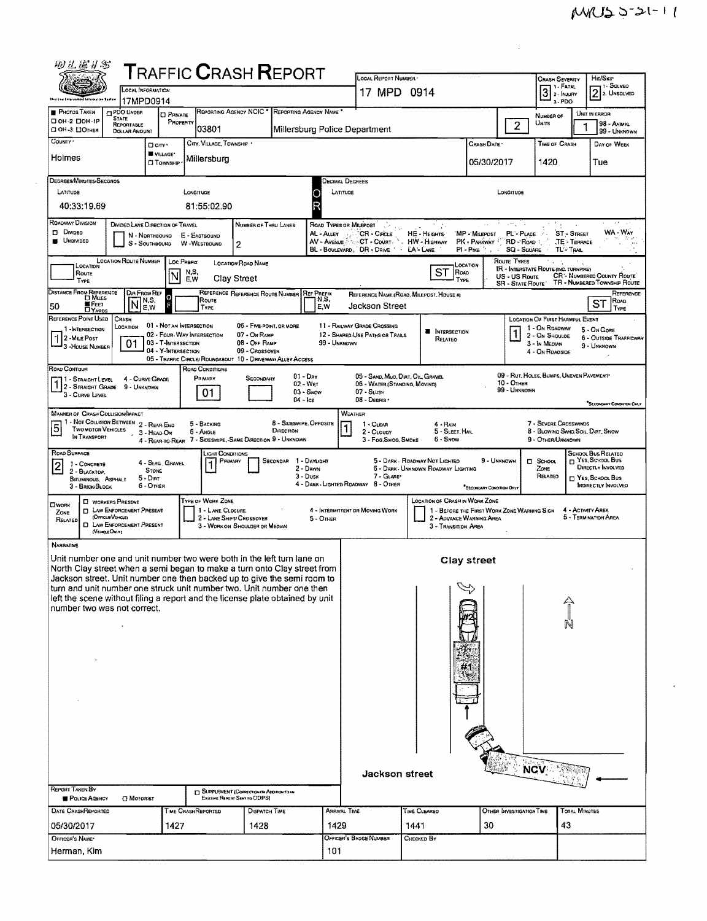$\hat{\mathcal{A}}$ 

| 的孔框扩影                                                                                                                                                                                                                                                                                                                                                                                                                                                                                                              |                                                                                                                                    |                                                                                                      |                               |                                       |                                                                                                                                           |                                      |                                                                                                                                                                                         | LOCAL REPORT NUMBER                                                                                                                                                                                                                                                                                                                     |                        |                               |                                                                                        |                                       |                                                                      |                                            |                                                      |  |
|--------------------------------------------------------------------------------------------------------------------------------------------------------------------------------------------------------------------------------------------------------------------------------------------------------------------------------------------------------------------------------------------------------------------------------------------------------------------------------------------------------------------|------------------------------------------------------------------------------------------------------------------------------------|------------------------------------------------------------------------------------------------------|-------------------------------|---------------------------------------|-------------------------------------------------------------------------------------------------------------------------------------------|--------------------------------------|-----------------------------------------------------------------------------------------------------------------------------------------------------------------------------------------|-----------------------------------------------------------------------------------------------------------------------------------------------------------------------------------------------------------------------------------------------------------------------------------------------------------------------------------------|------------------------|-------------------------------|----------------------------------------------------------------------------------------|---------------------------------------|----------------------------------------------------------------------|--------------------------------------------|------------------------------------------------------|--|
| ${\sf T}$ RAFFIC ${\sf C}$ RASH ${\sf R}$ EPORT<br><b>LOCAL INFORMATION</b><br>17MPD0914                                                                                                                                                                                                                                                                                                                                                                                                                           |                                                                                                                                    |                                                                                                      |                               |                                       |                                                                                                                                           |                                      |                                                                                                                                                                                         | 17 MPD 0914                                                                                                                                                                                                                                                                                                                             |                        |                               | Hit/SkiP<br>Crash Severity<br>1 - Solveo<br>1 - Fatal<br>$31$ FATAL<br>$2$ 2. UNSOLVEO |                                       |                                                                      |                                            |                                                      |  |
|                                                                                                                                                                                                                                                                                                                                                                                                                                                                                                                    |                                                                                                                                    |                                                                                                      |                               | $3.$ PDO                              |                                                                                                                                           |                                      |                                                                                                                                                                                         |                                                                                                                                                                                                                                                                                                                                         |                        |                               |                                                                                        |                                       |                                                                      |                                            |                                                      |  |
| <b>PHOTOS TAKEN</b><br>DOH-2 DOH-1P<br>О ОН-3 ПОТНЕВ                                                                                                                                                                                                                                                                                                                                                                                                                                                               | CI PDO UNDER<br><b>STATE</b><br>REPORTABLE<br><b>DOLLAR AMOUNT</b>                                                                 | <b>D</b> PRIVATE<br>PROPERTY                                                                         |                               | 03801                                 | REPORTING AGENCY NCIC *                                                                                                                   |                                      | REPORTING AGENCY NAME                                                                                                                                                                   | Millersburg Police Department                                                                                                                                                                                                                                                                                                           |                        |                               |                                                                                        | $\overline{2}$                        | NUMBER OF<br>UNITS                                                   |                                            | UNIT IN ERROR<br>98 - ANMAL<br>99 - UNKNOWN          |  |
| COUNTY '                                                                                                                                                                                                                                                                                                                                                                                                                                                                                                           |                                                                                                                                    | D cm ·                                                                                               |                               | CITY, VILLAGE, TOWNSHIP               |                                                                                                                                           |                                      |                                                                                                                                                                                         |                                                                                                                                                                                                                                                                                                                                         |                        |                               | CRASH DATE                                                                             |                                       |                                                                      | TIME OF CRASH                              | DAY OF WEEK                                          |  |
| Holmes                                                                                                                                                                                                                                                                                                                                                                                                                                                                                                             |                                                                                                                                    | VILLAGE*<br><b>CI TOWNSHIP</b>                                                                       |                               | Millersburg                           |                                                                                                                                           |                                      |                                                                                                                                                                                         |                                                                                                                                                                                                                                                                                                                                         |                        |                               | 05/30/2017                                                                             |                                       | 1420                                                                 |                                            | Tue                                                  |  |
| DEGREES/MINUTES/SECONDS<br>LATITUDE                                                                                                                                                                                                                                                                                                                                                                                                                                                                                |                                                                                                                                    |                                                                                                      | LONGITUDE                     |                                       |                                                                                                                                           |                                      | Decimal Degrees<br>LATITUDE                                                                                                                                                             |                                                                                                                                                                                                                                                                                                                                         |                        |                               | LONGITUDE                                                                              |                                       |                                                                      |                                            |                                                      |  |
| 40:33:19.69                                                                                                                                                                                                                                                                                                                                                                                                                                                                                                        |                                                                                                                                    |                                                                                                      |                               | 81:55:02.90                           |                                                                                                                                           |                                      | O                                                                                                                                                                                       |                                                                                                                                                                                                                                                                                                                                         |                        |                               |                                                                                        |                                       |                                                                      |                                            |                                                      |  |
| Roadway Division<br>$\Box$ Divided<br><b>UNDIVIDED</b>                                                                                                                                                                                                                                                                                                                                                                                                                                                             | DIVIDED LANE DIRECTION OF TRAVEL<br>N - NORTHBOUND<br>$S -$ Southbound                                                             |                                                                                                      | E - EASTBOUND<br>W -WESTBOUND |                                       | Number of Thru Lanes<br>2                                                                                                                 |                                      |                                                                                                                                                                                         | Road Types or Milepost<br>AL - ALLEY ALLACTE - CIRCLE<br>AV - Avenue Artist CT - Court A. HW - Highway<br>BL - BOULEVARD, DR - DRIVE                                                                                                                                                                                                    | LA - LANE<br>$\bullet$ | HE - HEIGHTS                  | $\sim$ $\sim$<br>'MP - Milepost<br>PK - PARKWAY   RD - ROAD :<br>PI-P⊪re '.            | After Car<br>PL'-PLACE<br>SQ - SOUARE |                                                                      | ST-STREET<br>TE TERRACE<br><b>TL'-TRAL</b> | $\sim$ $\prime$<br>WA - WAY                          |  |
| <b>LOCATION ROUTE NUMBER</b><br>ROUTE TYPES<br>LOC PREFIX<br>LOCATION ROAD NAME<br>LOCATION<br>LOCATION<br><b>IR - INTERSTATE ROUTE (INC. TURNPIKE)</b><br>ST<br><b>ROAD</b><br>N,S,<br>ROUTE<br>ļΝ<br>CR - NUMBERED COUNTY ROUTE<br>US - US Route<br>Clay Street<br>E,W<br>Type<br>TYPE<br>TR - NUMBERED TOWNSHIP ROUTE<br><b>SR - STATE ROUTE'</b>                                                                                                                                                               |                                                                                                                                    |                                                                                                      |                               |                                       |                                                                                                                                           |                                      |                                                                                                                                                                                         |                                                                                                                                                                                                                                                                                                                                         |                        |                               |                                                                                        |                                       |                                                                      |                                            |                                                      |  |
| DISTANCE FROM REFERENCE<br>W Fεετ<br>50<br><b>DYARDS</b>                                                                                                                                                                                                                                                                                                                                                                                                                                                           | Dir From Ref<br>N,S,<br> N<br>E,W                                                                                                  | Ю                                                                                                    |                               | Route<br>TYPE                         | REFERENCE REFERENCE ROUTE NUMBER REF PREFIX                                                                                               |                                      | N,S,<br>E,W                                                                                                                                                                             | REFERENCE NAME (ROAD, MILEPOST, HOUSE 4)<br>Jackson Street                                                                                                                                                                                                                                                                              |                        |                               |                                                                                        |                                       |                                                                      |                                            | REFERENCE<br>Road<br>SТ<br>Type                      |  |
| REFERENCE POINT USED<br>1-INTERSECTION<br><sup>1</sup> 2 - MILE Post<br><sup>1</sup> 3 - House Number                                                                                                                                                                                                                                                                                                                                                                                                              | CRASH<br>LOCATION<br>01                                                                                                            | 01 - NOT AN INTERSECTION<br>02 - FOUR-WAY INTERSECTION<br>03 - T-INTERSECTION<br>04 - Y-INTERSECTION |                               |                                       | 06 - Five-Powt, or More<br>07 - On RAMP<br>08 - Off RAMP<br>09 - Crossover<br>05 - TRAFFIC CIRCLE/ ROUNDABOUT 10 - DRIVEWAY/ ALLEY ACCESS |                                      | 99 - UNKNOWN                                                                                                                                                                            | 11 - RAILWAY GRADE CROSSING<br>12 - SHARED-USE PATHS OR TRAILS                                                                                                                                                                                                                                                                          |                        | <b>NTERSECTION</b><br>RELATED |                                                                                        |                                       | 1 - On ROADWAY<br>2 - On Shoulde<br>3 - In Median<br>4 - On ROAOSIDE | LOCATION OF FIRST HARMFUL EVENT            | 5 - On GORE<br>6 - OUTSIDE TRAFFICWAY<br>9 - UNKNOWN |  |
| Road Contour<br>11 - Straight Level<br>1 2-STRAIGHT GRADE<br>3 - CURVE LEVEL                                                                                                                                                                                                                                                                                                                                                                                                                                       | 4 - CURVE GRADE<br>9 - UNKNOWN                                                                                                     |                                                                                                      | ROAD CONDITIONS<br>PRIMARY    | 01                                    | SECONDARY                                                                                                                                 |                                      | $01 - \text{Div}$<br>02 - Wer<br>03 - SNOW<br>04 - Ice                                                                                                                                  | 05 - SAND, MUO, DIRT, OIL, GRAVEL<br>06 - WATER (STANDING, MOVING)<br>07 - SLUSH<br>08 - Deanis                                                                                                                                                                                                                                         |                        |                               |                                                                                        | 10 - OTHER<br>99 - Unknown            |                                                                      | 09 - RUT. HOLES, BUMPS, UNEVEN PAVEMENT    | SECONOMITY CONDITION ONLY                            |  |
| <b>MANNER OF CRASH COLLISION/MPACT</b><br>1 - NOT COLLISION BETWEEN 2 - REAR-END<br>5<br>TWO MOTOR VEHICLES<br>IN TRANSPORT                                                                                                                                                                                                                                                                                                                                                                                        |                                                                                                                                    | 3 - HEAD-ON                                                                                          | 5 - BACKING<br>6 - ANGLE      |                                       | 4 - REAR-TO-REAR 7 - SIDESWIPE, SAME DIRECTION 9 - UNKNOWN                                                                                | 8 - SIDESWIPE, OPPOSITE<br>DIRECTION | WEATHER<br>7 - SEVERE CROSSWINDS<br>1 - CLEAR<br>4 - Rain<br>8 - BLOWING SANO SOIL, DIRT, SNOW<br>5 - Sleet Hail<br>2 - CLOUDY<br>6 - Snow<br>3 - Fog, Smog, Smoke<br>9 - OTHER/UNKNOWN |                                                                                                                                                                                                                                                                                                                                         |                        |                               |                                                                                        |                                       |                                                                      |                                            |                                                      |  |
| ROAD SURFACE<br>$\overline{\mathbf{c}}$<br>1 - CONCRETE<br>2 - BLACKTOP.<br>BITUMINOUS, ASPHALT<br>3 - Brick Block                                                                                                                                                                                                                                                                                                                                                                                                 | $5 -$ Dirt                                                                                                                         | 4 - SLAG, GRAVEL<br><b>STONE</b><br>$6 -$ Orker                                                      |                               | <b>SGHT CONDITIONS</b><br>PRIMARY     |                                                                                                                                           | SECONDAR 1 - DAYLIGHT                | 2 - DAWN<br>$3 -$ Dusk                                                                                                                                                                  | <b>SCHOOL BUS RELATED</b><br>T YES, SCHOOL BUS<br>5 - DARK - ROADWAY NOT LIGHTED<br>9 - UNKNOWN<br>$\square$ SCHOOL<br>DIRECTLY INVOLVED<br>6 - DARK - UNKNOWN ROADWAY LIGHTING<br>ZONE<br>7 - GLARE*<br>RELATED<br>T YES, SCHOOL BUS<br>4 - DARK - LIGHTED ROADWAY 8 - OTHER<br><b>INDIRECTLY INVOLVED</b><br>"Secondum Condition Only |                        |                               |                                                                                        |                                       |                                                                      |                                            |                                                      |  |
| Пиюкк<br>ZONE<br>RELATED                                                                                                                                                                                                                                                                                                                                                                                                                                                                                           | <b>D</b> WORKERS PRESENT<br><b>D</b> LAW ENFORCEMENT PRESENT<br>(OrncenVersce)<br><b>D</b> LAW ENFORCEMENT PRESENT<br>(VEHOLE OMY) |                                                                                                      |                               | TYPE OF WORK ZONE<br>1 - LANE CLOSURE | 2 - LANE SHIFT/ CROSSOVER<br>3 - WORK ON SHOULDER OR MEDIAN                                                                               |                                      | 5 - OTHER                                                                                                                                                                               | <b>LOCATION OF CRASH IN WORK ZONE</b><br>4 - ACTIVITY AREA<br>4 - INTERMITTENT OR MOVING WORK<br>1 - BEFORE THE FIRST WORK ZONE WARNING SIGN<br>5 - TERMINATION AREA<br>2 - ADVANCE WARNING AREA<br>3 - TRANSITION AREA                                                                                                                 |                        |                               |                                                                                        |                                       |                                                                      |                                            |                                                      |  |
| <b>NARRATIVE</b><br>Unit number one and unit number two were both in the left turn lane on<br>North Clay street when a semi began to make a turn onto Clay street from<br>Jackson street. Unit number one then backed up to give the semi room to<br>turn and unit number one struck unit number two. Unit number one then<br>left the scene without filing a report and the license plate obtained by unit<br>number two was not correct.<br>REPORT TAKEN BY<br><b>POLICE AGENCY</b><br><b>DATE CRASHREPORTED</b> | <b>C</b> MOTORIST                                                                                                                  |                                                                                                      | <b>TIME CRASHREPORTED</b>     |                                       | <b>TJ SUPPLEMENT (CORRECTION OR ADDITION TO AN</b><br>Existing Report Sent to ODPS)<br>DISPATCH TIME                                      |                                      |                                                                                                                                                                                         | Jackson street<br><b>ARRIVAL TIME</b>                                                                                                                                                                                                                                                                                                   | <b>TIME CLEARED</b>    |                               | Clay street<br>#1                                                                      | OTHER INVESTIGATION TIME              | <b>NCV</b>                                                           | <b>TOTAL MINUTES</b>                       |                                                      |  |
| 05/30/2017                                                                                                                                                                                                                                                                                                                                                                                                                                                                                                         |                                                                                                                                    | 1427                                                                                                 |                               |                                       | 1428                                                                                                                                      |                                      | 1429                                                                                                                                                                                    |                                                                                                                                                                                                                                                                                                                                         | 1441                   |                               | 30                                                                                     |                                       |                                                                      | 43                                         |                                                      |  |
| OFFICER'S NAME*<br>Herman, Kim                                                                                                                                                                                                                                                                                                                                                                                                                                                                                     |                                                                                                                                    |                                                                                                      |                               |                                       |                                                                                                                                           |                                      | 101                                                                                                                                                                                     | OFFICER'S BADGE NUMBER                                                                                                                                                                                                                                                                                                                  | CHECKED BY             |                               |                                                                                        |                                       |                                                                      |                                            |                                                      |  |

 $\sim$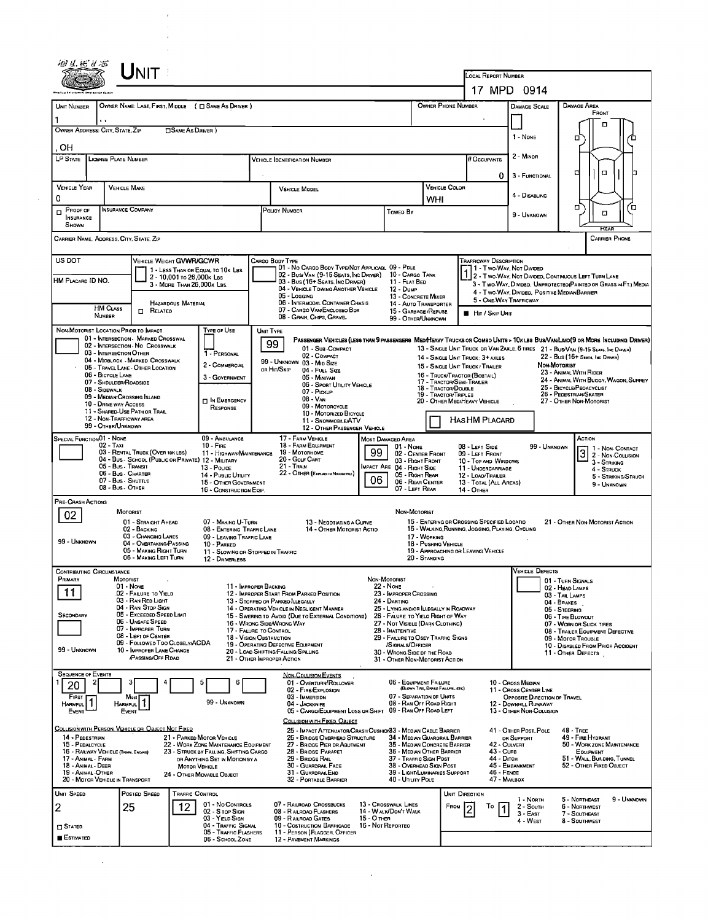|                                         | UNIT                                                                                    |                                                                                              |                                                                                     |                                                                                                                                                   |                                                                                                    |                                                                       |                                                                          |                                                                  |                                  |                                                                                 |                                                        |                                                                                                                        |                      |  |
|-----------------------------------------|-----------------------------------------------------------------------------------------|----------------------------------------------------------------------------------------------|-------------------------------------------------------------------------------------|---------------------------------------------------------------------------------------------------------------------------------------------------|----------------------------------------------------------------------------------------------------|-----------------------------------------------------------------------|--------------------------------------------------------------------------|------------------------------------------------------------------|----------------------------------|---------------------------------------------------------------------------------|--------------------------------------------------------|------------------------------------------------------------------------------------------------------------------------|----------------------|--|
|                                         |                                                                                         |                                                                                              |                                                                                     |                                                                                                                                                   | LOCAL REPORT NUMBER                                                                                |                                                                       |                                                                          |                                                                  |                                  |                                                                                 |                                                        |                                                                                                                        |                      |  |
| UNIT NUMBER                             | OWNER NAME: LAST, FIRST, MIDDLE ( C SAME AS DRIVER )                                    |                                                                                              |                                                                                     |                                                                                                                                                   |                                                                                                    |                                                                       |                                                                          | OWNER PHONE NUMBER                                               |                                  | 17 MPD 0914<br>DAMAGE SCALE                                                     |                                                        | Damage Area                                                                                                            |                      |  |
|                                         |                                                                                         |                                                                                              |                                                                                     |                                                                                                                                                   |                                                                                                    |                                                                       |                                                                          |                                                                  |                                  | FRONT                                                                           |                                                        |                                                                                                                        |                      |  |
| OWNER ADDRESS: CITY, STATE, ZIP         |                                                                                         | □ SAME AS DRIVER )                                                                           |                                                                                     |                                                                                                                                                   |                                                                                                    |                                                                       | 1 - None                                                                 |                                                                  | п<br>п                           |                                                                                 |                                                        |                                                                                                                        |                      |  |
| OН                                      |                                                                                         |                                                                                              |                                                                                     |                                                                                                                                                   |                                                                                                    |                                                                       |                                                                          |                                                                  |                                  |                                                                                 |                                                        |                                                                                                                        |                      |  |
| LP STATE                                | <b>LICENSE PLATE NUMBER</b>                                                             |                                                                                              |                                                                                     | <b>VEHICLE IDENTIFICATION NUMBER</b>                                                                                                              |                                                                                                    |                                                                       |                                                                          |                                                                  | # Occupants                      | 2 - MINOR                                                                       |                                                        |                                                                                                                        |                      |  |
|                                         |                                                                                         |                                                                                              |                                                                                     |                                                                                                                                                   | 0<br>Vehicle Color                                                                                 |                                                                       |                                                                          | 3 - FUNCTIONAL                                                   |                                  | O.<br>□                                                                         |                                                        |                                                                                                                        |                      |  |
| <b>VEHICLE YEAR</b><br>0                | <b>VEHICLE MAKE</b>                                                                     |                                                                                              |                                                                                     | <b>VEHICLE MODEL</b>                                                                                                                              |                                                                                                    |                                                                       | WHI                                                                      |                                                                  |                                  | 4 - DISABLING                                                                   |                                                        |                                                                                                                        |                      |  |
| Proof of<br><b>INSURANCE</b><br>Shown   | <b>INSURANCE COMPANY</b>                                                                |                                                                                              | POLICY NUMBER<br><b>Toweo By</b>                                                    |                                                                                                                                                   |                                                                                                    |                                                                       |                                                                          |                                                                  |                                  | 9 - UNKNOWN                                                                     |                                                        | α<br>$\Box$                                                                                                            | α                    |  |
|                                         | CARRIER NAME, ADORESS, CITY, STATE, ZIP                                                 |                                                                                              |                                                                                     |                                                                                                                                                   |                                                                                                    |                                                                       |                                                                          |                                                                  |                                  |                                                                                 |                                                        |                                                                                                                        | <b>CARRIER PHONE</b> |  |
| US DOT                                  | VEHICLE WEIGHT GVWR/GCWR                                                                |                                                                                              | CARGO BODY TYPE                                                                     | 01 - No CARGO BODY TYPE/NOT APPLICABL 09 - PDLE                                                                                                   |                                                                                                    |                                                                       |                                                                          |                                                                  | <b>TRAFFICWAY DESCRIPTION</b>    | 1 - Two-Way, Not Divided                                                        |                                                        |                                                                                                                        |                      |  |
| HM PLACARD ID NO.                       |                                                                                         | 1 - LESS THAN OR EQUAL TO 10K LBS<br>2 - 10,001 то 26,000к Las<br>3 - MORE THAN 26.000x LBS. |                                                                                     | 02 - Busi Van (9-15 Seats, Inc Driver)<br>03 - Bus (16+ Seats, Inc Driver)                                                                        |                                                                                                    | 10 - CARGO TANK<br>11 - FLAT BED                                      |                                                                          |                                                                  |                                  |                                                                                 |                                                        | 2 - Two WAY, NOT DIVIDED, CONTINUOUS LEFT TURN LANE<br>3 - Two-Way, DIVIDED, UNPROTECTEO(PAINTED OR GRASS > FT.) MEDIA |                      |  |
|                                         |                                                                                         |                                                                                              |                                                                                     | 04 - VEHICLE TOWING ANOTHER VEHICLE<br>05 - Logging                                                                                               |                                                                                                    | 12 - Dump<br>13 - CONCRETE MIXER                                      |                                                                          |                                                                  |                                  | 5 - ONE-WAY TRAFFICWAY                                                          |                                                        | 4 - Two-Way, Divideo. Positive Median Barrier                                                                          |                      |  |
|                                         | <b>HAZARDOUS MATERIAL</b><br><b>HM CLASS</b><br>RELATED<br>п<br>NUMBER                  |                                                                                              |                                                                                     | 06 - INTERMODAL CONTAINER CHASIS<br>07 - CARGO VAN ENCLOSEO BOX<br>08 - GRAIN, CHIPS, GRAVEL                                                      |                                                                                                    | 14 - AUTO TRANSPORTER<br>15 - GARBACE / REFUSE                        |                                                                          |                                                                  | <b>HIT / SKIP UNIT</b>           |                                                                                 |                                                        |                                                                                                                        |                      |  |
|                                         | NON-MOTORIST LOCATION PRIOR TO IMPACT                                                   | TYPE OF USE                                                                                  | UNIT TYPE                                                                           |                                                                                                                                                   |                                                                                                    | 99 - OTHER/UNKNOWN                                                    |                                                                          |                                                                  |                                  |                                                                                 |                                                        |                                                                                                                        |                      |  |
|                                         | 01 - INTERSECTION - MARKED CROSSWAL<br>02 - INTERSECTION NO CROSSWALK                   |                                                                                              | 99                                                                                  | PASSENGER VEHICLES (LESS THAN 9 PASSENGERS MEDIHEAVY TRUCKS OR COMSO UNITS > 10x LBS BUS/VAN/LIMO(9 OR MORE INCLUDING DRIVER)<br>01 - Sub-COMPACT |                                                                                                    |                                                                       |                                                                          |                                                                  |                                  |                                                                                 |                                                        | 13 - SINGLE UNIT TRUCK OR VAN ZAXLE, 6 TIRES 21 - BUS/VAN (9-15 SEATS, INC DRIVER)                                     |                      |  |
|                                         | 03 - INTERSECTION OTHER<br>04 - MIDBLOCK - MARKED CROSSWALK                             | 1 - PERSONAL                                                                                 |                                                                                     | 02 - COMPACT<br>99 - UNKNOWN 03 - MID SIZE                                                                                                        |                                                                                                    |                                                                       |                                                                          | 14 - SINGLE UNIT TRUCK: 3+ AXLES                                 |                                  |                                                                                 |                                                        | 22 - Bus (16+ Seats, Inc Dirver)                                                                                       |                      |  |
|                                         | 05 - TRAVEL LANE - OTHER LOCATION<br>06 - BICYCLE LANE                                  | 2 - COMMERCIAL<br>3 - GOVERNMENT                                                             |                                                                                     | or Hit/Skip<br>04 - FULL SIZE<br>05 - MINIVAN                                                                                                     |                                                                                                    |                                                                       |                                                                          | 15 - SINGLE UNIT TRUCK / TRAILER<br>16 - TRUCK/TRACTOR (BOBTAIL) |                                  |                                                                                 | <b>Non-Motorist</b>                                    | 23 - ANIMAL WITH RIDER<br>24 - ANIMAL WITH BUGGY, WAGON, SURREY                                                        |                      |  |
|                                         | 07 - SHDULDER/ROADSIDE<br>08 - SIDEWALK<br>09 - MEDIAN/CROSSING ISLAND                  |                                                                                              |                                                                                     | 06 - SPORT UTILITY VEHICLE<br>07 - PICKUP                                                                                                         |                                                                                                    |                                                                       | 17 - TRACTOR/SEMI-TRAILER<br>18 - TRACTOR/DOUBLE<br>19 - TRACTOR/TRIPLES |                                                                  |                                  |                                                                                 | 25 - BICYCLE/PEDACYCLIST<br>26 - PEDESTRIAN/SKATER     |                                                                                                                        |                      |  |
|                                         | 10 - DRIVE WAY ACCESS<br>11 - Shared-Use Path or Trail                                  | <b>D</b> IN EMERGENCY<br>RESPONSE                                                            |                                                                                     | $08 - V_{AN}$<br>09 - MOTORCYCLE                                                                                                                  |                                                                                                    |                                                                       |                                                                          | 20 - OTHER MEDIHEAVY VEHICLE                                     |                                  |                                                                                 | 27 - OTHER NON-MOTORIST                                |                                                                                                                        |                      |  |
|                                         | 12 - NON-TRAFFICWAY AREA<br>99 - OTHER/UNKNOWN                                          |                                                                                              |                                                                                     | 10 - MOTORIZED BICYCLE<br>11 - SNOWMOBILE/ATV<br>12 - OTHER PASSENGER VEHICLE                                                                     |                                                                                                    |                                                                       |                                                                          | HAS HM PLACARD                                                   |                                  |                                                                                 |                                                        |                                                                                                                        |                      |  |
| <b>SPECIAL FUNCTION 01 - NONE</b>       | 02 - Taxi                                                                               | 09 - AMBULANCE<br>$10 -$ Fire                                                                |                                                                                     | 17 - FARM VEHICLE<br>18 - FARM EQUIPMENT                                                                                                          | MOST DAMAGED AREA                                                                                  | $01 - None$                                                           |                                                                          |                                                                  |                                  |                                                                                 |                                                        | ACTION                                                                                                                 |                      |  |
|                                         | 03 - RENTAL TRUCK (OVER 10K LBS)<br>04 - Bus - SCHOOL (PUBLIC OR PRIVATE) 12 - MILITARY | 11 - HIGHWAY/MAINTENANCE                                                                     |                                                                                     | 19 - Мотопноме<br>20 - GOLF CART                                                                                                                  | 08 - LEFT SIDE<br>02 - CENTER FRONT<br>09 - LEFT FRONT<br>03 - Right Front<br>10 - TOP AND WINDOWS |                                                                       |                                                                          |                                                                  |                                  | 99 - UNKNOWN                                                                    | $\overline{3}$<br>3 - STRIKING                         | 1 - Non-Contact<br>2 - NON-COLLISION                                                                                   |                      |  |
|                                         | 05 - Bus. Transit<br>06 - Bus Charter                                                   | 13 - Pouce<br>14 - PUBLIC UTILITY                                                            | $21 -$ Train<br>MPACT ARE 04 - RIGHT SIDE<br>22 - OTHER (EXPLAN IN NARRATIVE)<br>06 |                                                                                                                                                   |                                                                                                    |                                                                       | 11 - UNDERCARRIAGE<br>05 - RIGHT REAR<br>12 - LOAO/TRAILER               |                                                                  |                                  |                                                                                 |                                                        | 4 - STRUCK                                                                                                             | 5 - STRIKING/STRUCK  |  |
|                                         | 07 - Bus SHUTTLE<br>08 - Bus - OTHER                                                    | 15 - OTHER GOVERNMENT<br>16 - CONSTRUCTION EQIP.                                             |                                                                                     |                                                                                                                                                   | 06 - REAR CENTER<br>07 - LEFT REAR                                                                 |                                                                       | <b>14 - OTHER</b>                                                        | 13 - TOTAL (ALL AREAS)                                           |                                  |                                                                                 |                                                        | 9 - UNKNOWN                                                                                                            |                      |  |
| PRE-CRASH ACTIONS                       |                                                                                         |                                                                                              |                                                                                     |                                                                                                                                                   |                                                                                                    | NON-MOTORIST                                                          |                                                                          |                                                                  |                                  |                                                                                 |                                                        |                                                                                                                        |                      |  |
| 02                                      | MOTORIST<br>01 - STRAIGHT AHEAD                                                         | 07 - MAKING U-TURN                                                                           |                                                                                     | 13 - NEGOTIATING A CURVE                                                                                                                          |                                                                                                    |                                                                       |                                                                          | 15 - ENTERING OR CROSSING SPECIFIED LOCATIO                      |                                  |                                                                                 |                                                        | 21 - OTHER NON-MOTORIST ACTION                                                                                         |                      |  |
| 99 - UNKNDWN                            | 02 - BACKING<br>03 - CHANGING LANES<br>04 - OVERTAKING/PASSING                          | 08 - ENTERING TRAFFIC LANE<br>09 - LEAVING TRAFFIC LANE<br>10 - PARKEO                       |                                                                                     | 14 - OTHER MOTORIST ACTIO                                                                                                                         |                                                                                                    |                                                                       | 17 - WORKING<br>18 - PUSHING VEHICLE                                     | 16 - WALKING, RUNNING, JOGGING, PLAYING, CYCLING                 |                                  |                                                                                 |                                                        |                                                                                                                        |                      |  |
|                                         | 05 - MAKING RIGHT TURN<br>06 - MAKING LEFT TURN                                         | 11 - SLOWING OR STOPPED IN TRAFFIC<br>12 - DRIVERLESS                                        |                                                                                     |                                                                                                                                                   |                                                                                                    |                                                                       | 20 - STANDING                                                            | 19 - APPROACHING OR LEAVING VEHICLE                              |                                  |                                                                                 |                                                        |                                                                                                                        |                      |  |
| <b>CONTRIBUTING CIRCUMSTANCE</b>        |                                                                                         |                                                                                              |                                                                                     |                                                                                                                                                   |                                                                                                    |                                                                       |                                                                          |                                                                  |                                  | <b>VEHICLE DEFECTS</b>                                                          |                                                        |                                                                                                                        |                      |  |
| Primary<br>11                           | MOTORIST<br>01 - None                                                                   |                                                                                              | 11 - IMPROPER BACKING                                                               |                                                                                                                                                   | NON-MOTORIST<br><b>22 - NONE</b>                                                                   |                                                                       |                                                                          |                                                                  |                                  |                                                                                 |                                                        | 01 - TURN SIGNALS<br>02 - HEAD LAMPS                                                                                   |                      |  |
|                                         | 02 - FAILURE TO YIELD<br>03 - RAN RED LIGHT<br>04 - RAN STOP SIGN                       |                                                                                              |                                                                                     | 12 - IMPROPER START FROM PARKED POSITION<br>13 - STOPPEO OR PARKEO ILLEGALLY<br>14 - OPERATING VEHICLE IN NEGLIGENT MANNER                        | 24 - DARTING                                                                                       | 23 - IMPROPER CROSSING                                                |                                                                          | 25 - LYING AND/OR LLEGALLY IN ROADWAY                            |                                  |                                                                                 | 04 - Brakes                                            | 03 - TAIL LAMPS                                                                                                        |                      |  |
| <b>SECONDARY</b>                        | 05 - Exceeped Speed LIMIT<br>06 - UNSAFE SPEED                                          |                                                                                              |                                                                                     | 15 - SWERING TO AVOID (DUE TO EXTERNAL CONDITIONS)<br>16 - WRONG SIDE/WRONG WAY                                                                   |                                                                                                    | 26 - FALURE TO YIELO RIGHT OF WAY<br>27 - NOT VISIBLE (DARK CLOTHING) |                                                                          |                                                                  |                                  |                                                                                 |                                                        | 05 - STEERING<br>06 - TIRE BLOWOUT<br>07 - WORN OR SLICK TIRES                                                         |                      |  |
|                                         | 07 - IMPROPER TURN<br>08 - LEFT OF CENTER                                               |                                                                                              | 17 - FALURE TO CONTROL<br>18 - VISION OBSTRUCTION                                   |                                                                                                                                                   | 28 - INATTENTIVE<br>29 - FAILURE TO OSEY TRAFFIC SIGNS                                             |                                                                       |                                                                          |                                                                  |                                  |                                                                                 |                                                        | 08 - TRAILER EQUIPMENT DEFECTIVE<br>09 - MOTOR TROUBLE                                                                 |                      |  |
| 99 - UNKNOWN                            | 09 - FOLLOWED TOO CLOSELY/ACDA<br>10 - IMPROPER LANE CHANGE                             |                                                                                              |                                                                                     | 19 - OPERATING DEFECTIVE EQUIPMENT<br>20 - Load Shifting/Falling/Spilling                                                                         |                                                                                                    | /SIGNALS/OFFICER<br>30 - WRONG SIDE DF THE ROAD                       |                                                                          |                                                                  |                                  |                                                                                 |                                                        | 10 - DISABLED FROM PRIOR ACCIDENT<br>11 - OTHER DEFECTS                                                                |                      |  |
| <b>SEQUENCE OF EVENTS</b>               | <b>/PASSING/OFF RDAD</b>                                                                |                                                                                              |                                                                                     | 21 - OTHER IMPROPER ACTION                                                                                                                        |                                                                                                    | 31 - OTHER NON-MOTORIST ACTION                                        |                                                                          |                                                                  |                                  |                                                                                 |                                                        |                                                                                                                        |                      |  |
| 20                                      |                                                                                         | 5<br>6                                                                                       |                                                                                     | <b>NON-COLLISION EVENTS</b><br>01 - OVERTURN/ROLLOVER<br>02 - FIRE/EXPLOSION                                                                      |                                                                                                    | 06 - EQUIPMENT FAILURE                                                | (BLOWN TIRE, BRAKE FAILURE, ETC)                                         |                                                                  |                                  | 10 - Cross Median                                                               |                                                        |                                                                                                                        |                      |  |
| <b>FIRST</b><br><b>HARMFUL</b>          | Most<br><b>HARMFUL</b>                                                                  | 99 - UNKNOWN                                                                                 |                                                                                     | 03 - IMMERSION<br>04 - JACKKNIFE                                                                                                                  |                                                                                                    | 07 - SEPARATION OF UNITS<br>08 - RAN OFF ROAD RIGHT                   |                                                                          |                                                                  |                                  | 11 - Cross CENTER LINE<br>OPPOSITE DIRECTION OF TRAVEL<br>12 - DOWNHILL RUNAWAY |                                                        |                                                                                                                        |                      |  |
| EVENT                                   | EVENT                                                                                   |                                                                                              |                                                                                     | 05 - CARGO/EQUIPMENT LOSS OR SHIFT 09 - RAN OFF ROAD LEFT<br>COLLISION WITH FIXED, OBJECT                                                         |                                                                                                    |                                                                       |                                                                          |                                                                  |                                  | 13 - OTHER NON-COLLISION                                                        |                                                        |                                                                                                                        |                      |  |
| 14 - PEDESTRIAN                         | COLLISION WITH PERSON, VEHICLE OR OBJECT NOT FIXED                                      | 21 - PARKED MOTOR VEHICLE                                                                    |                                                                                     | 25 - IMPACT ATTENUATOR/CRASH CUSHION 3 - MEDIAN CABLE BARRIER<br>26 - BRIDGE OVERHEAD STRUCTURE                                                   |                                                                                                    | 34 - MEDIAN GUARDRAIL BARRIER                                         |                                                                          |                                                                  |                                  | 41 - OTHER POST, POLE<br>OR SUPPORT                                             |                                                        | $48 - THE$<br>49 - FIRE HYDRANT                                                                                        |                      |  |
| 15 - PEDALCYCLE                         | 16 - RAILWAY VEHICLE (TRAN, ENGINE)                                                     | 22 - WORK ZONE MAINTENANCE EQUIPMENT<br>23 - STRUCK BY FALLING, SHIFTING CARGO               |                                                                                     | 27 - BRIDGE PIER DR ABUTMENT<br>28 - BRIDGE PARAPET                                                                                               |                                                                                                    | 35 - MEDIAN CONCRETE BARRIER<br>36 - MEDIAN OTHER BARRIER             |                                                                          |                                                                  | 42 - CULVERT<br><b>43 - CURB</b> |                                                                                 |                                                        | 50 - WORK ZONE MAINTENANCE<br>EQUIPMENT                                                                                |                      |  |
| 17 - Animal - Farm<br>18 - ANMAL - DEER |                                                                                         | OR ANYTHING SET IN MOTION BY A<br>MOTOR VEHICLE                                              |                                                                                     | 29 - BRIDGE RAIL<br>30 - GUARDRAIL FACE                                                                                                           |                                                                                                    | 37 - TRAFFIC SIGN POST<br>38 - OVERHEAD SIGN POST                     |                                                                          |                                                                  | 44 - Олсн                        | 45 - EMBANKMENT                                                                 | 51 - WALL, BUILDING, TUNNEL<br>52 - OTHER FIXED OBJECT |                                                                                                                        |                      |  |
| 19 - ANIMAL OTHER                       | 20 - MOTOR VEHICLE IN TRANSPORT                                                         | 24 - OTHER MOVABLE OBJECT                                                                    |                                                                                     | 31 - GUARDRAILEND<br>32 - PORTABLE BARRIER                                                                                                        |                                                                                                    | 39 - LIGHT/LUMINARIES SUPPORT<br>40 - UTILITY POLE                    |                                                                          |                                                                  | $46 -$ FENCE<br>47 - MAILBOX     |                                                                                 |                                                        |                                                                                                                        |                      |  |
| UNIT SPEED                              | POSTED SPEED                                                                            | <b>TRAFFIC CONTROL</b>                                                                       |                                                                                     |                                                                                                                                                   |                                                                                                    |                                                                       |                                                                          | UNIT DIRECTION                                                   |                                  | 1 - North                                                                       |                                                        | 5 - NORTHEAST                                                                                                          | 9 - UNKNOWN          |  |
| 2                                       | 25<br>12.                                                                               | 01 - No CONTROLS<br>02 - S TOP SIGN<br>03 - YIELD SIGN                                       |                                                                                     | 07 - RAILROAD CROSSBUCKS<br>08 - RAILROAD FLASHERS<br>09 - RAILROAD GATES                                                                         | 13 - Crosswalk Lines<br>14 - WALK/DON'T WALK<br>15 - O THER                                        |                                                                       |                                                                          | FROM                                                             | To                               | 2 - South<br>$3 - EAST$                                                         |                                                        | <b>6 - NORTHWEST</b><br>7 - SOUTHEAST                                                                                  |                      |  |
| <b>STATED</b>                           |                                                                                         | 04 - TRAFFIC SIGNAL<br>05 - TRAFFIC FLASHERS                                                 |                                                                                     | 10 - COSTRUCTION BARRICADE<br>11 - PERSON (FLAGGER, OFFICER                                                                                       | 16 - Not Reporteo                                                                                  |                                                                       |                                                                          |                                                                  |                                  | 4 - West                                                                        |                                                        | 8 - SOUTHWEST                                                                                                          |                      |  |
| <b>ESTIMATED</b>                        |                                                                                         | 06 - SCHOOL ZONE                                                                             |                                                                                     | 12 - PAVEMENT MARKINGS                                                                                                                            |                                                                                                    |                                                                       |                                                                          |                                                                  |                                  |                                                                                 |                                                        |                                                                                                                        |                      |  |

 $\bar{\gamma}$  $\bar{\ell}$ 

J.

 $\sim$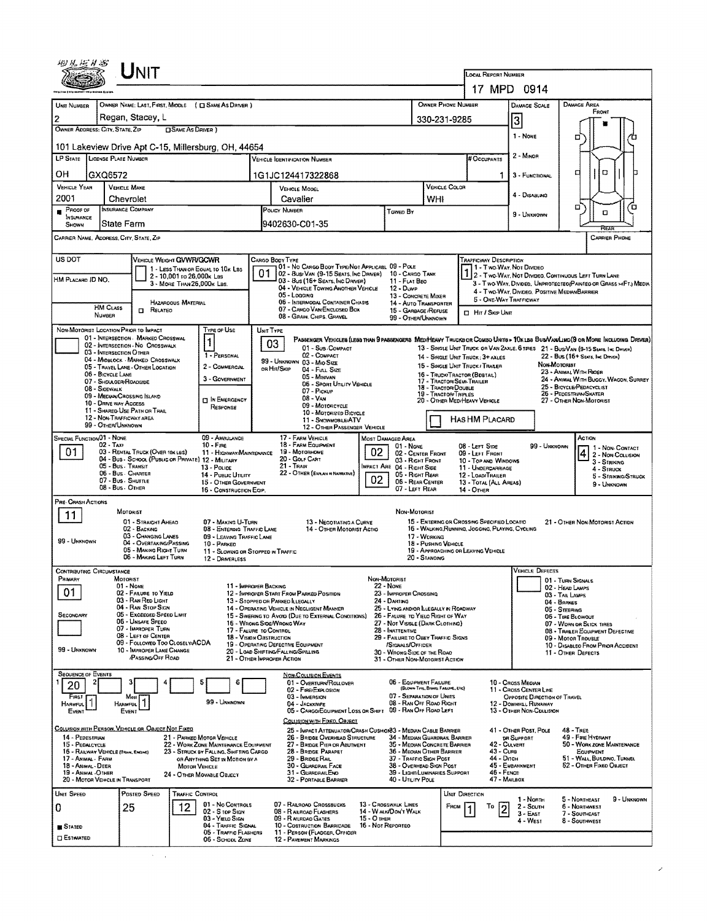|                                                                                                                                                                                                             |                                             | UNIT                                                                                    |                                                                                |                                                                                                                                                        |                                                                                                 |                   |                                                                                         |                                      |                                                                                                 |                                         |                                                                         |                                                                                                                                                                                                                     |             |  |  |  |
|-------------------------------------------------------------------------------------------------------------------------------------------------------------------------------------------------------------|---------------------------------------------|-----------------------------------------------------------------------------------------|--------------------------------------------------------------------------------|--------------------------------------------------------------------------------------------------------------------------------------------------------|-------------------------------------------------------------------------------------------------|-------------------|-----------------------------------------------------------------------------------------|--------------------------------------|-------------------------------------------------------------------------------------------------|-----------------------------------------|-------------------------------------------------------------------------|---------------------------------------------------------------------------------------------------------------------------------------------------------------------------------------------------------------------|-------------|--|--|--|
|                                                                                                                                                                                                             |                                             |                                                                                         |                                                                                | LOCAL REPORT NUMBER                                                                                                                                    | 17 MPD 0914                                                                                     |                   |                                                                                         |                                      |                                                                                                 |                                         |                                                                         |                                                                                                                                                                                                                     |             |  |  |  |
| UNIT NUMBER                                                                                                                                                                                                 |                                             | OWNER NAME: LAST, FIRST, MIDDLE ( C SAME AS DRIVER )                                    |                                                                                |                                                                                                                                                        |                                                                                                 |                   |                                                                                         | OWNER PHONE NUMBER                   |                                                                                                 |                                         | DAMAGE SCALE                                                            | DAMAGE AREA                                                                                                                                                                                                         |             |  |  |  |
| $\overline{c}$                                                                                                                                                                                              |                                             | Regan, Stacey, L                                                                        |                                                                                |                                                                                                                                                        |                                                                                                 |                   |                                                                                         | 330-231-9285                         | FRONT                                                                                           |                                         |                                                                         |                                                                                                                                                                                                                     |             |  |  |  |
| OWNER ADDRESS: CITY, STATE, ZIP                                                                                                                                                                             |                                             | <b>OSAME AS DRIVER</b> )                                                                |                                                                                |                                                                                                                                                        |                                                                                                 |                   |                                                                                         |                                      |                                                                                                 |                                         | 3<br>1 - NONE                                                           |                                                                                                                                                                                                                     |             |  |  |  |
|                                                                                                                                                                                                             |                                             | 101 Lakeview Drive Apt C-15, Millersburg, OH, 44654                                     |                                                                                |                                                                                                                                                        |                                                                                                 |                   |                                                                                         |                                      |                                                                                                 |                                         |                                                                         | □                                                                                                                                                                                                                   |             |  |  |  |
| LP STATE LICENSE PLATE NUMBER                                                                                                                                                                               |                                             |                                                                                         |                                                                                |                                                                                                                                                        | VEHICLE IDENTIFICATION NUMBER                                                                   |                   |                                                                                         |                                      | #Occupants                                                                                      |                                         | 2 - Minon                                                               |                                                                                                                                                                                                                     |             |  |  |  |
| OН                                                                                                                                                                                                          | GXQ6572                                     |                                                                                         |                                                                                |                                                                                                                                                        | 1G1JC124417322868                                                                               |                   |                                                                                         |                                      |                                                                                                 | 1.                                      | 3 - FUNCTIONAL                                                          | O<br>□                                                                                                                                                                                                              |             |  |  |  |
| <b>VEHICLE YEAR</b><br>2001                                                                                                                                                                                 |                                             | VEHICLE MAKE<br>Chevrolet                                                               |                                                                                |                                                                                                                                                        | <b>VEHICLE MODEL</b><br>Cavalier                                                                |                   |                                                                                         | VEHICLE COLOR<br>WHI                 |                                                                                                 |                                         | 4 - Disabling                                                           |                                                                                                                                                                                                                     |             |  |  |  |
| Proof of                                                                                                                                                                                                    |                                             | INSURANCE COMPANY                                                                       |                                                                                |                                                                                                                                                        | POLICY NUMBER                                                                                   |                   | TOWED BY                                                                                |                                      |                                                                                                 |                                         | 9 - Unknown                                                             | α<br>а                                                                                                                                                                                                              | Έ           |  |  |  |
| INSURANCE<br>SHOWN                                                                                                                                                                                          | State Farm                                  |                                                                                         |                                                                                |                                                                                                                                                        | 9402630-C01-35                                                                                  |                   |                                                                                         |                                      |                                                                                                 |                                         |                                                                         | RFA                                                                                                                                                                                                                 |             |  |  |  |
| CARRIER NAME, ADDRESS, CITY, STATE, ZIP<br><b>CARRIER PHONE</b>                                                                                                                                             |                                             |                                                                                         |                                                                                |                                                                                                                                                        |                                                                                                 |                   |                                                                                         |                                      |                                                                                                 |                                         |                                                                         |                                                                                                                                                                                                                     |             |  |  |  |
| US DOT<br>VEHICLE WEIGHT GVWR/GCWR<br>CARGO BODY TYPE<br><b>TRAFFICWAY DESCRIPTION</b><br>01 - No CARGO BODY TYPE/NOT APPLICABL 09 - POLE<br>11 - Two Way, Not Divideo<br>1 - LESS THAN OR EQUAL TO 10K LBS |                                             |                                                                                         |                                                                                |                                                                                                                                                        |                                                                                                 |                   |                                                                                         |                                      |                                                                                                 |                                         |                                                                         |                                                                                                                                                                                                                     |             |  |  |  |
| HM PLACARD ID NO.                                                                                                                                                                                           |                                             | 2 - 10,001 to 26,000x Las<br>3 - MORE THAN 26,000K LBS.                                 |                                                                                | 01                                                                                                                                                     | 02 - Busi Van (9-15 Seats, Inc Driver)<br>03 - Bus (16+ Sears, Inc Daiver)                      |                   | 10 - CARGO TANK<br>11 - FLAT BEO                                                        |                                      |                                                                                                 |                                         |                                                                         | 2 - Two-Way, Not Divideo, Continuous Left Turn Lane<br>3 - Two Way, Divided, Unprotected (Painted or Grass >>(FT.) Media                                                                                            |             |  |  |  |
|                                                                                                                                                                                                             |                                             |                                                                                         |                                                                                |                                                                                                                                                        | 04 - VEHICLE TOWING ANOTHER VEHICLE<br>05 - Logging                                             |                   | 12 - Duwp<br>13 - CONCRETE MIXER                                                        |                                      |                                                                                                 |                                         | 4 - Two-WAY, DIVIDEO, POSITIVE MEDIAN BARRIER<br>5 - ONE-WAY TRAFFICWAY |                                                                                                                                                                                                                     |             |  |  |  |
|                                                                                                                                                                                                             | HM CLASS<br>NUMBER                          | <b>HAZAROOUS MATERIAL</b><br>$\Box$ Related                                             |                                                                                |                                                                                                                                                        | 06 - INTERMODAL CONTAINER CHASIS<br>07 - CARGO VAN/ENCLOSEO BOX<br>08 - GRAIN, CHPS, GRAVEL     |                   | 14 - AUTO TRANSPORTER<br>15 - GARBAGE /REFUSE<br>99 - OTHER/UNKNOWN                     |                                      |                                                                                                 | <b>El Hit / Skip Unit</b>               |                                                                         |                                                                                                                                                                                                                     |             |  |  |  |
|                                                                                                                                                                                                             |                                             | NON-MOTORIST LOCATION PRIOR TO IMPACT                                                   | <b>TYPE OF USE</b>                                                             | UNIT TYPE                                                                                                                                              |                                                                                                 |                   |                                                                                         |                                      |                                                                                                 |                                         |                                                                         |                                                                                                                                                                                                                     |             |  |  |  |
|                                                                                                                                                                                                             |                                             | 01 - INTERSECTION - MARKED CROSSWAL<br>02 - INTERSECTION NO CROSSWALK                   | 1                                                                              | 03                                                                                                                                                     | 01 - Sub Compact                                                                                |                   |                                                                                         |                                      |                                                                                                 |                                         |                                                                         | PASSENGER VEHICLES (LESS THAN 9 PASSENGERS MEDIMEAVY TRUCKS OR COMSO UNITS > 10K 1ES BUS/VAN/LIMO(9 OR MORE INCLUDING DRIVER)<br>13 - SINGLE UNIT TRUCK OR VAN 2AXLE, 6 TRES 21 - BUS/VAN (9-15 SEATS. INC. DRIVER) |             |  |  |  |
|                                                                                                                                                                                                             | 03 - INTERSECTION OTHER                     | 04 - MIDBLOCK - MARKED CROSSWALK                                                        | 1 - PERSONAL<br>2 - COMMERCIAL                                                 |                                                                                                                                                        | 02 - COMPACT<br>99 - UNKNOWN 03 - MIO SIZE                                                      |                   |                                                                                         |                                      | 14 - SINGLE UNIT TRUCK; 3+ AXLES<br>15 - SINGLE UNIT TRUCK / TRAILER                            |                                         | NON-MOTORIST                                                            | 22 - BUS (16+ SEATS, INC DRIVER)                                                                                                                                                                                    |             |  |  |  |
|                                                                                                                                                                                                             | 06 - BICYCLE LANE<br>07 - SHOULOER/ROADSIDE | 05 - TRAVEL LANE - OTHER LOCATION                                                       | 3 - GOVERNMENT                                                                 | on Hit/Skip                                                                                                                                            | 04 - FULL SIZE<br>05 - MINIVAN                                                                  |                   |                                                                                         |                                      | 16 - TRUCK/TRACTOR (BOBTAIL)                                                                    |                                         |                                                                         | 23 - ANIMAL WITH RIOER<br>24 - ANIMAL WITH BUGGY, WAGON, SURREY                                                                                                                                                     |             |  |  |  |
|                                                                                                                                                                                                             | 08 - Sidewalk                               | 09 - MEDIAN/CROSSING ISLAND                                                             |                                                                                | 17 - TRACTOR/SEMI-TRAILER<br>06 - SPORT UTILITY VEHICLE<br>18 - TRACTOR/DOUBLE<br>07 - Pickup<br>19 - TRACTOR/TRIPLES                                  |                                                                                                 |                   |                                                                                         |                                      |                                                                                                 |                                         | 25 - BICYCLE/PEDACYCLIST<br>26 - PEDESTRIAN/SKATER                      |                                                                                                                                                                                                                     |             |  |  |  |
|                                                                                                                                                                                                             | 10 - DRIVE WAY ACCESS                       | 11 - SHARED-USE PATH OR TRAIL                                                           | <b>IN EMERGENCY</b><br>RESPONSE                                                | $08 - V_{AN}$<br>20 - OTHER MED/HEAVY VEHICLE<br>09 - MOTORCYCLE<br>10 - Motorizep Bicycle                                                             |                                                                                                 |                   |                                                                                         |                                      |                                                                                                 | 27 - OTHER NON-MOTORIST                 |                                                                         |                                                                                                                                                                                                                     |             |  |  |  |
| 12 - NON-TRAFFICWAY AREA<br>HAS HM PLACARD<br>11 - SNOWMOBILE/ATV<br>99 - OTHER/UNKNOWN<br>12 - OTHER PASSENGER VEHICLE                                                                                     |                                             |                                                                                         |                                                                                |                                                                                                                                                        |                                                                                                 |                   |                                                                                         |                                      |                                                                                                 |                                         |                                                                         |                                                                                                                                                                                                                     |             |  |  |  |
| SPECIAL FUNCTION 01 - NONE                                                                                                                                                                                  | $02 - T_{AN}$                               |                                                                                         | 09 - AMBULANCE<br>$10 - F$ <sub>IRE</sub>                                      |                                                                                                                                                        | 17 - FARM VEHICLE<br>18 - FARM EQUIPMENT                                                        |                   | MOST DAMAGED AREA<br>01 - None                                                          |                                      | 08 - Lert Sine                                                                                  |                                         | 99 - Unknown                                                            | ACTION<br>1 - Non-CONTACT                                                                                                                                                                                           |             |  |  |  |
| 01                                                                                                                                                                                                          |                                             | 03 - RENTAL TRUCK (OVER 10K LBS)<br>04 - Bus - School (Public or Private) 12 - Military |                                                                                | 02<br>19 - Мотояноме<br>11 - HIGHWAY/MAINTENANCE<br>02 - CENTER FRONT<br>09 - LEFT FRONT<br>20 - GOLF CART<br>03 - RIGHT FRONT<br>10 - Top and Windows |                                                                                                 |                   |                                                                                         |                                      |                                                                                                 |                                         |                                                                         | $\left  4 \right $ 2 - Non-Collision<br>3 - STRIKING                                                                                                                                                                |             |  |  |  |
|                                                                                                                                                                                                             | 05 - Bus . Transit<br>07 - Bus - SHUTTLE    | 06 - Bus CHARTER                                                                        | 13 - Pouce<br>14 - Pusuc Unury                                                 | 21 - Train<br><b>IMPACT ARE 04 - RIGHT SIDE</b><br>22 - OTHER (EXPLAN IN NARRATIVE)<br>05 - RIGHT REAR<br>02<br>06 - REAR CENTER                       |                                                                                                 |                   |                                                                                         |                                      |                                                                                                 | 11 - UNDERCARRIAGE<br>12 - LOAD/TRAILER |                                                                         | 4 - STRUCK<br>5 - STRIKING/STRUCK                                                                                                                                                                                   |             |  |  |  |
|                                                                                                                                                                                                             | 08 - Bus - OTHER                            |                                                                                         | 15 - OTHER GOVERNMENT<br>16 - CONSTRUCTION EQIP.                               |                                                                                                                                                        |                                                                                                 |                   | 07 - LEFT REAR                                                                          |                                      | 13 - TOTAL (ALL AREAS)<br>14 - Отнев                                                            |                                         |                                                                         | 9 - Unknown                                                                                                                                                                                                         |             |  |  |  |
| PRE-CRASH ACTIONS                                                                                                                                                                                           |                                             | MOTORIST                                                                                |                                                                                |                                                                                                                                                        |                                                                                                 |                   | NON-MOTORIST                                                                            |                                      |                                                                                                 |                                         |                                                                         |                                                                                                                                                                                                                     |             |  |  |  |
| 11                                                                                                                                                                                                          |                                             | 01 - STRAIGHT AHEAD<br>02 BACKING                                                       | 07 - MAKING U-TURN<br>08 - ENTERING TRAFFIC LANE                               |                                                                                                                                                        | 13 - Negotiating a Curve<br>14 - OTHER MOTORIST ACTIO                                           |                   |                                                                                         |                                      | 15 - ENTERING OR CROSSING SPECIFIED LOCATIO<br>16 - WALKING, RUNNING, JOGGING, PLAYING, CYCLING |                                         |                                                                         | 21 - OTHER NON-MOTORIST ACTION                                                                                                                                                                                      |             |  |  |  |
| 99 - UNKNOWN                                                                                                                                                                                                |                                             | 03 - CHANGING LANES<br>04 - OVERTAKING/PASSING                                          | 09 - LEAVING TRAFFIC LANE<br>10 - PARKED                                       |                                                                                                                                                        |                                                                                                 |                   |                                                                                         | 17 - WORKING<br>18 - Pushing Vehicle |                                                                                                 |                                         |                                                                         |                                                                                                                                                                                                                     |             |  |  |  |
|                                                                                                                                                                                                             |                                             | 05 - MAKING RIGHT TURN<br>06 - MAKING LEFT TURN                                         | 11 - SLOWING OR STOPPED IN TRAFFIC<br>12 - DRNERLESS                           |                                                                                                                                                        |                                                                                                 |                   |                                                                                         | 20 - Standing                        | 19 - APPROACHING OR LEAVING VEHICLE                                                             |                                         |                                                                         |                                                                                                                                                                                                                     |             |  |  |  |
| <b>CONTRIBUTING CIRCUMSTANCE</b><br>PRIMARY                                                                                                                                                                 |                                             | <b>MOTORIST</b>                                                                         |                                                                                |                                                                                                                                                        |                                                                                                 | Non-Motorist      |                                                                                         |                                      |                                                                                                 |                                         | <b>VEHICLE DEFECTS</b>                                                  |                                                                                                                                                                                                                     |             |  |  |  |
| 01                                                                                                                                                                                                          |                                             | $01 -$ Nome<br>02 - FAILURE TO YIELD                                                    |                                                                                | 11 - IMPROPER BACKING                                                                                                                                  | 12 - IMPROPER START FROM PARKED POSITION                                                        |                   | <b>22 - NONE</b><br>23 - IMPROPER CROSSING                                              |                                      |                                                                                                 |                                         |                                                                         | 01 - TURN SIGNALS<br>02 - HEAD LAMPS                                                                                                                                                                                |             |  |  |  |
|                                                                                                                                                                                                             |                                             | 03 - RAN RED LIGHT<br>04 - RAN STOP SIGN                                                |                                                                                |                                                                                                                                                        | 13 - STOPPED OR PARKED LLEGALLY<br>14 - OPERATING VEHICLE IN NEGLIGENT MANNER                   |                   | 24 - DARTING<br>25 - LYING ANDIOR ILLEGALLY IN ROADWAY                                  |                                      | 03 - TAIL LAMPS<br>04 - BRAKES<br>05 - STEERING                                                 |                                         |                                                                         |                                                                                                                                                                                                                     |             |  |  |  |
| SECONDARY                                                                                                                                                                                                   |                                             | 05 - Excesoed Speed LIMIT<br>06 - UNSAFE SPEED                                          |                                                                                | 16 - WRONG SIDE/WRONG WAY                                                                                                                              | 15 - Swering to Avoid (Due to External Conditions)                                              |                   | 26 - FALURE TO YIELO RIGHT OF WAY<br>27 - Not Visible (DARK CLOTHING)                   |                                      |                                                                                                 |                                         |                                                                         | 06 - TIRE BLOWOUT<br>07 - WORN OR SLICK TIRES                                                                                                                                                                       |             |  |  |  |
|                                                                                                                                                                                                             |                                             | 07 - IMPROPER TURN<br>08 - LEFT OF CENTER<br>09 - FOLLOWED TOO CLOSELY/ACDA             |                                                                                | 17 - FALURE TO CONTROL<br>18 - VISION OBSTRUCTION                                                                                                      |                                                                                                 |                   | 28 - INATTENTIVE<br>29 - FAILURE TO OBEY TRAFFIC SIGNS                                  |                                      |                                                                                                 |                                         |                                                                         | 08 - TRALER EQUIPMENT DEFECTIVE<br>09 - Motor Trousle                                                                                                                                                               |             |  |  |  |
| 99 - UNKNOWN                                                                                                                                                                                                |                                             | 10 - IMPROPER LANE CHANGE<br><b>PASSING/OFF ROAD</b>                                    |                                                                                | 21 - OTHER IMPROPER ACTION                                                                                                                             | 19 - OPERATING DEFECTIVE EQUIPMENT<br>20 - LOAD SHIFTING/FALLING/SPILLING                       |                   | <b>SIGNALS/OFFICER</b><br>30 - WRONG SIDE OF THE ROAD<br>31 - OTHER NON-MOTORIST ACTION |                                      |                                                                                                 |                                         |                                                                         | 10 - Disableo From Prior Accident<br>11 - OTHER DEFECTS                                                                                                                                                             |             |  |  |  |
| <b>SEQUENCE OF EVENTS</b>                                                                                                                                                                                   |                                             |                                                                                         |                                                                                |                                                                                                                                                        | NON-COLLISION EVENTS                                                                            |                   |                                                                                         |                                      |                                                                                                 |                                         |                                                                         |                                                                                                                                                                                                                     |             |  |  |  |
| 20                                                                                                                                                                                                          | 2                                           |                                                                                         | 6                                                                              |                                                                                                                                                        | 01 - OVERTURN/ROLLOVER<br>02 - FIRE EXPLOSION                                                   |                   | 06 - EQUIPMENT FAILURE                                                                  | (BLOWN TIRE, BINAKE FAQUINE, ETC)    |                                                                                                 |                                         | 10 - Cross Median<br>11 - Cross Center Line                             |                                                                                                                                                                                                                     |             |  |  |  |
| FIRST<br><b>HARMFUL</b>                                                                                                                                                                                     |                                             | Most<br><b>HARMFUL</b>                                                                  | 99 - Unknown                                                                   |                                                                                                                                                        | 03 - IMMERSION<br>04 - JACKKNIFE                                                                |                   | 07 - SEPARATION OF UNITS<br>08 - RAN OFF ROAD RIGHT                                     |                                      |                                                                                                 |                                         | OPPOSITE DIRECTION OF TRAVEL<br>12 - Downhal Runaway                    |                                                                                                                                                                                                                     |             |  |  |  |
| EVENT                                                                                                                                                                                                       |                                             | EVENT                                                                                   |                                                                                |                                                                                                                                                        | 05 - CARGO/EQUIPMENT LOSS OR SHIFT 09 - RAN OFF ROAD LEFT<br>COLLISION WITH FIXED, OBJECT       |                   |                                                                                         |                                      |                                                                                                 |                                         | 13 - OTHER NON-COLLISION                                                |                                                                                                                                                                                                                     |             |  |  |  |
| 14 - PEDESTRIAN                                                                                                                                                                                             |                                             | COLUSION WITH PERSON, VEHICLE OR OBJECT NOT FIXED                                       | 21 - PARKED MOTOR VEHICLE                                                      |                                                                                                                                                        | 25 - IMPACT ATTENUATOR/CRASH CUSHION33 - MEDIAN CABLE BARRIER<br>26 - BRIDGE OVERHEAD STRUCTURE |                   | 34 - Median Guardrasl Barrier                                                           |                                      |                                                                                                 |                                         | 41 - OTHER POST, POLE<br>DR SUPPORT                                     | $48 - T$ REE<br>49 - FIRE HYDRANT                                                                                                                                                                                   |             |  |  |  |
| 15 - PEDALCYCLE<br>17 - ANIMAL - FARM                                                                                                                                                                       | 16 - RAILWAY VEHICLE (TRAIN, ENGINE)        |                                                                                         | 22 - WORK ZONE MAINTENANCE EQUIPMENT<br>23 - STRUCK BY FALLING, SHIFTING CARGO | 27 - BRIDGE PIER OR ABUTMENT<br>35 - Median Concrete Barrier<br>28 - BRIDGE PARAPET<br>36 - MEORN OTHER BARRIER                                        |                                                                                                 |                   |                                                                                         |                                      |                                                                                                 | 42 - Culvert<br>43 - Cuna<br>44 - Олсн  |                                                                         | 50 - WORK ZONE MAINTENANCE<br>EQUIPMENT<br>51 - Wall Burdino, Tunnel                                                                                                                                                |             |  |  |  |
| 18 - Animal - Deer<br>19 - ANIMAL -OTHER                                                                                                                                                                    |                                             | <b>MOTOR VEHICLE</b>                                                                    | OR ANYTHING SET IN MOTION BY A                                                 | 37 - TRAFFIC SIGN POST<br>29 - BRIDGE RAIL<br>30 - GUARDRAIL FACE<br>38 - Overhead Sign Post<br>31 - GUARDRAILEND<br>39 - Light/Luminaries Support     |                                                                                                 |                   |                                                                                         |                                      |                                                                                                 | 46 - FENCE                              | 45 - EMBANKMENT                                                         | 52 - OTHER FIXED OBJECT                                                                                                                                                                                             |             |  |  |  |
|                                                                                                                                                                                                             | 20 - MOTOR VEHICLE IN TRANSPORT             |                                                                                         | 24 - OTHER MOVABLE OBJECT                                                      |                                                                                                                                                        | 32 - PORTABLE BARRIER                                                                           |                   | 40 - UTILITY POLE                                                                       |                                      |                                                                                                 | 47 - Marbox                             |                                                                         |                                                                                                                                                                                                                     |             |  |  |  |
| UNIT SPEED                                                                                                                                                                                                  |                                             | Posteo Speeo<br><b>THAFFIC CONTROL</b>                                                  | 01 - No CONTROLS                                                               |                                                                                                                                                        | 07 - RAILROAD CROSSBUCKS                                                                        |                   | 13 - Crosswalk Lines                                                                    |                                      | UNIT DIRECTION<br>FROM                                                                          | To                                      | 1 - North                                                               | 5 - NORTHEAST<br>6 - NORTHWEST                                                                                                                                                                                      | 9 - UNKNOWN |  |  |  |
| 0                                                                                                                                                                                                           |                                             | 12<br>25                                                                                | 02 - S TOP SIGN<br>03 - YIELD SIGN                                             |                                                                                                                                                        | 08 - RAILROAD FLASHERS<br>09 R ALROAD GATES                                                     | 15 - O THER       | 14 - WALK/DON'T WALK                                                                    |                                      |                                                                                                 |                                         | 2 - South<br>$3 - E$ AST<br>4 - West                                    | 7 - SOUTHEAST<br>8 - SOUTHWEST                                                                                                                                                                                      |             |  |  |  |
| <b>B</b> Stated<br><b>CI ESTIMATED</b>                                                                                                                                                                      |                                             |                                                                                         | 04 - TRAFFIC SIGNAL<br>05 - TRAFFIC FLASHERS<br>06 - SCHOOL ZONE               |                                                                                                                                                        | 10 - Costruction Barricade<br>11 - PERSON (FLAGGER, OFFICER<br><b>12 - PAVEMENT MARKINGS</b>    | 16 - Not Reported |                                                                                         |                                      |                                                                                                 |                                         |                                                                         |                                                                                                                                                                                                                     |             |  |  |  |
|                                                                                                                                                                                                             |                                             |                                                                                         |                                                                                |                                                                                                                                                        |                                                                                                 |                   |                                                                                         |                                      |                                                                                                 |                                         |                                                                         |                                                                                                                                                                                                                     |             |  |  |  |